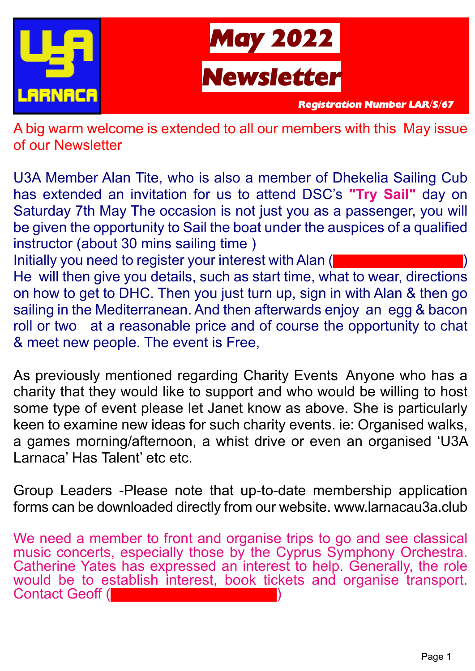



*Registration Number LAR/S/67*

A big warm welcome is extended to all our members with this May issue of our Newsletter

U3A Member Alan Tite, who is also a member of Dhekelia Sailing Cub has extended an invitation for us to attend DSC's **"Try Sail"** day on Saturday 7th May The occasion is not just you as a passenger, you will be given the opportunity to Sail the boat under the auspices of a qualified instructor (about 30 mins sailing time ) Initially you need to register your interest with Alan (

He will then give you details, such as start time, what to wear, directions on how to get to DHC. Then you just turn up, sign in with Alan & then go sailing in the Mediterranean. And then afterwards enjoy an egg & bacon roll or two at a reasonable price and of course the opportunity to chat & meet new people. The event is Free,

As previously mentioned regarding Charity Events Anyone who has a charity that they would like to support and who would be willing to host some type of event please let Janet know as above. She is particularly keen to examine new ideas for such charity events. ie: Organised walks, a games morning/afternoon, a whist drive or even an organised 'U3A Larnaca' Has Talent' etc etc.

Group Leaders -Please note that up-to-date membership application forms can be downloaded directly from our website. www.larnacau3a.club

We need a member to front and organise trips to go and see classical music concerts, especially those by the Cyprus Symphony Orchestra. Catherine Yates has expressed an interest to help. Generally, the role would be to establish interest, book tickets and organise transport. Contact Geoff (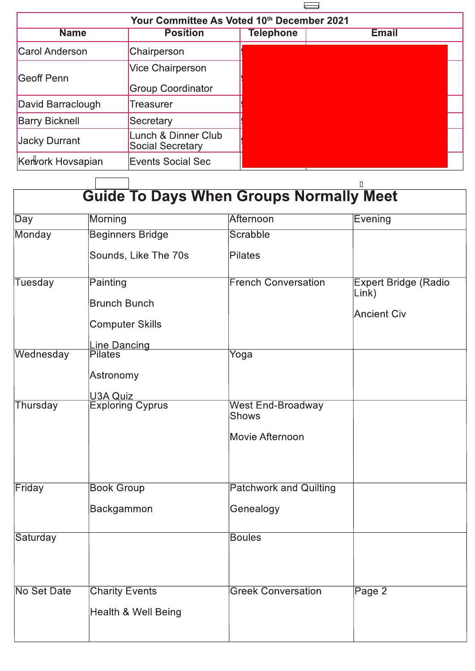

| Your Committee As Voted 10th December 2021 |                                               |           |              |  |  |
|--------------------------------------------|-----------------------------------------------|-----------|--------------|--|--|
| <b>Name</b>                                | <b>Position</b>                               | Telephone | <b>Email</b> |  |  |
| Carol Anderson                             | Chairperson                                   |           |              |  |  |
| Geoff Penn                                 | <b>Vice Chairperson</b>                       |           |              |  |  |
|                                            | <b>Group Coordinator</b>                      |           |              |  |  |
| David Barraclough                          | Treasurer                                     |           |              |  |  |
| <b>Barry Bicknell</b>                      | Secretary                                     |           |              |  |  |
| Jacky Durrant                              | unch & Dinner Club<br><b>Social Secretary</b> |           |              |  |  |
| Kervork Hovsapian                          | Events Social Sec                             |           |              |  |  |

| Day                | Morning                                                   | Afternoon                                            | <b>Evening</b>                                             |
|--------------------|-----------------------------------------------------------|------------------------------------------------------|------------------------------------------------------------|
| Monday             | <b>Beginners Bridge</b>                                   | Scrabble                                             |                                                            |
|                    | Sounds, Like The 70s                                      | <b>Pilates</b>                                       |                                                            |
| <b>Tuesday</b>     | Painting<br><b>Brunch Bunch</b><br><b>Computer Skills</b> | <b>French Conversation</b>                           | <b>Expert Bridge (Radio</b><br>Link)<br><b>Ancient Civ</b> |
| Wednesday          | <b>Line Dancing</b><br><b>Pilates</b><br>Astronomy        | Yoga                                                 |                                                            |
| Thursday           | <b>U3A Quiz</b><br><b>Exploring Cyprus</b>                | <b>West End-Broadway</b><br>Shows<br>Movie Afternoon |                                                            |
| Friday             | <b>Book Group</b>                                         | <b>Patchwork and Quilting</b>                        |                                                            |
|                    | Backgammon                                                | Genealogy                                            |                                                            |
| Saturday           |                                                           | <b>Boules</b>                                        |                                                            |
| <b>No Set Date</b> | <b>Charity Events</b><br>Health & Well Being              | <b>Greek Conversation</b>                            | Page 2                                                     |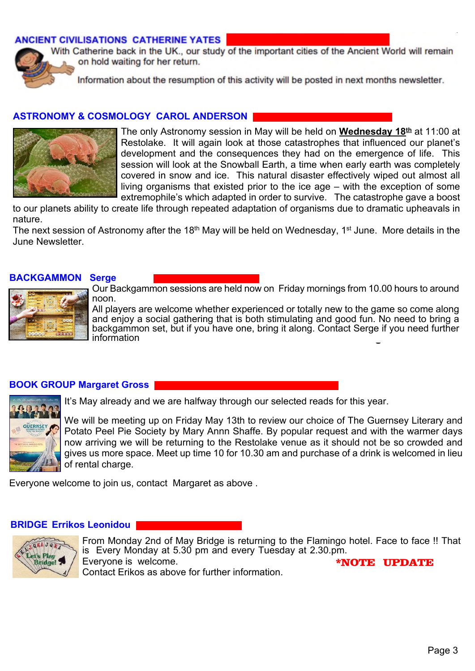## **ANCIENT CIVILISATIONS CATHERINE YATES**



With Catherine back in the UK., our study of the important cities of the Ancient World will remain on hold waiting for her return.

Information about the resumption of this activity will be posted in next months newsletter.

### **ASTRONOMY & COSMOLOGY CAROL ANDERSON**



The only Astronomy session in May will be held on **Wednesday 18th** at 11:00 at Restolake. It will again look at those catastrophes that influenced our planet's development and the consequences they had on the emergence of life. This session will look at the Snowball Earth, a time when early earth was completely covered in snow and ice. This natural disaster effectively wiped out almost all living organisms that existed prior to the ice age – with the exception of some extremophile's which adapted in order to survive. The catastrophe gave a boost

to our planets ability to create life through repeated adaptation of organisms due to dramatic upheavals in nature.

The next session of Astronomy after the 18<sup>th</sup> May will be held on Wednesday, 1<sup>st</sup> June. More details in the June Newsletter.

#### **BACKGAMMON Serge**



Our Backgammon sessions are held now on Friday mornings from 10.00 hours to around noon.

backgammon set, but if you have one, bring it along. Contact Serge if you need further **Dancing** All players are welcome whether experienced or totally new to the game so come along and enjoy a social gathering that is both stimulating and good fun. No need to bring a information

#### **BOOK GROUP Margaret Gross**



It's May already and we are halfway through our selected reads for this year.

We will be meeting up on Friday May 13th to review our choice of The Guernsey Literary and Potato Peel Pie Society by Mary Annn Shaffe. By popular request and with the warmer days now arriving we will be returning to the Restolake venue as it should not be so crowded and gives us more space. Meet up time 10 for 10.30 am and purchase of a drink is welcomed in lieu of rental charge.

Everyone welcome to join us, contact Margaret as above .

#### **BRIDGE Errikos Leonidou**



From Monday 2nd of May Bridge is returning to the Flamingo hotel. Face to face !! That is Every Monday at 5.30 pm and every Tuesday at 2.30.pm. Everyone is welcome. Contact Erikos as above for further information. \*NOTE UPDATE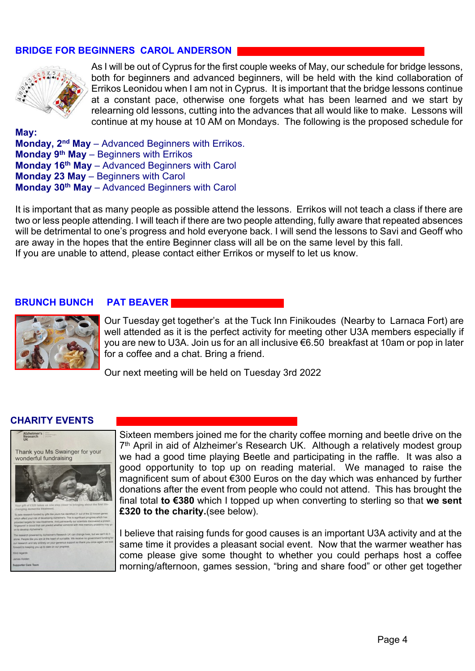# **BRIDGE FOR BEGINNERS CAROL ANDERSON**



As I will be out of Cyprus for the first couple weeks of May, our schedule for bridge lessons, both for beginners and advanced beginners, will be held with the kind collaboration of Errikos Leonidou when I am not in Cyprus. It is important that the bridge lessons continue at a constant pace, otherwise one forgets what has been learned and we start by relearning old lessons, cutting into the advances that all would like to make. Lessons will continue at my house at 10 AM on Mondays. The following is the proposed schedule for

**May: Monday, 2nd May** – Advanced Beginners with Errikos. **Monday 9th May** – Beginners with Errikos **Monday 16th May** – Advanced Beginners with Carol **Monday 23 May** – Beginners with Carol **Monday 30th May** – Advanced Beginners with Carol

It is important that as many people as possible attend the lessons. Errikos will not teach a class if there are two or less people attending. I will teach if there are two people attending, fully aware that repeated absences will be detrimental to one's progress and hold everyone back. I will send the lessons to Savi and Geoff who are away in the hopes that the entire Beginner class will all be on the same level by this fall. If you are unable to attend, please contact either Errikos or myself to let us know.

### **BRUNCH BUNCH PAT BEAVER**



Our Tuesday get together's at the Tuck Inn Finikoudes (Nearby to Larnaca Fort) are well attended as it is the perfect activity for meeting other U3A members especially if you are new to U3A. Join us for an all inclusive €6.50 breakfast at 10am or pop in later for a coffee and a chat. Bring a friend.

Our next meeting will be held on Tuesday 3rd 2022

### **CHARITY EVENTS**



Sixteen members joined me for the charity coffee morning and beetle drive on the 7<sup>th</sup> April in aid of Alzheimer's Research UK. Although a relatively modest group we had a good time playing Beetle and participating in the raffle. It was also a good opportunity to top up on reading material. We managed to raise the magnificent sum of about €300 Euros on the day which was enhanced by further donations after the event from people who could not attend. This has brought the final total **to €380** which I topped up when converting to sterling so that **we sent £320 to the charity.**(see below).

I believe that raising funds for good causes is an important U3A activity and at the same time it provides a pleasant social event. Now that the warmer weather has come please give some thought to whether you could perhaps host a coffee morning/afternoon, games session, "bring and share food" or other get together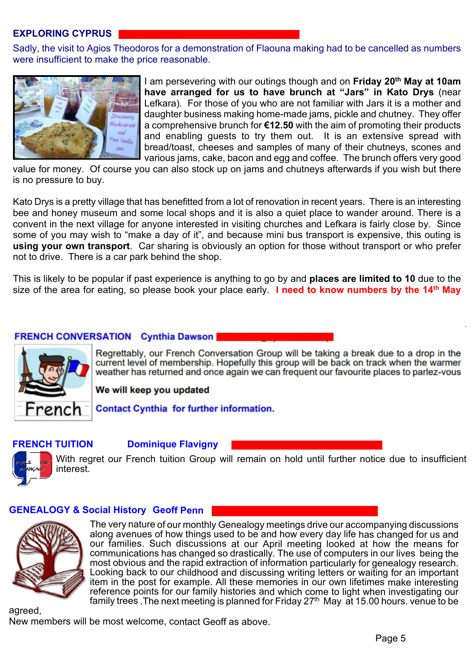## **EXPLORING CYPRUS**

Sadly, the visit to Agios Theodoros for a demonstration of Flaouna making had to be cancelled as numbers were insufficient to make the price reasonable.



I am persevering with our outings though and on **Friday 20th May at 10am have arranged for us to have brunch at "Jars" in Kato Drys** (near Lefkara). For those of you who are not familiar with Jars it is a mother and daughter business making home-made jams, pickle and chutney. They offer a comprehensive brunch for **€12.50** with the aim of promoting their products and enabling guests to try them out. It is an extensive spread with bread/toast, cheeses and samples of many of their chutneys, scones and various jams, cake, bacon and egg and coffee. The brunch offers very good

value for money. Of course you can also stock up on jams and chutneys afterwards if you wish but there is no pressure to buy.

Kato Drys is a pretty village that has benefitted from a lot of renovation in recent years. There is an interesting bee and honey museum and some local shops and it is also a quiet place to wander around. There is a convent in the next village for anyone interested in visiting churches and Lefkara is fairly close by. Since some of you may wish to "make a day of it", and because mini bus transport is expensive, this outing is **using your own transport**. Car sharing is obviously an option for those without transport or who prefer not to drive. There is a car park behind the shop.

This is likely to be popular if past experience is anything to go by and **places are limited to 10** due to the size of the area for eating, so please book your place early. **I need to know numbers by the 14th May**

# **FRENCH CONVERSATION Cynthia Dawson**



Regrettably, our French Conversation Group will be taking a break due to a drop in the current level of membership. Hopefully this group will be back on track when the warmer weather has returned and once again we can frequent our favourite places to parlez-vous

We will keep you updated

**Contact Cynthia for further information.** 

### **FRENCH TUITION Dominique Flavigny**



With regret our French tuition Group will remain on hold until further notice due to insufficient interest.

### **GENEALOGY & Social History Geoff Penn**



The very nature of our monthly Genealogy meetings drive our accompanying discussions along avenues of how things used to be and how every day life has changed for us and our families. Such discussions at our April meeting looked at how the means for communications has changed so drastically. The use of computers in our lives being the most obvious and the rapid extraction of information particularly for genealogy research. Looking back to our childhood and discussing writing letters or waiting for an important item in the post for example. All these memories in our own lifetimes make interesting reference points for our family histories and which come to light when investigating our family trees . The next meeting is planned for Friday  $27<sup>th</sup>$  May at 15.00 hours. venue to be

agreed,

New members will be most welcome, contact Geoff as above.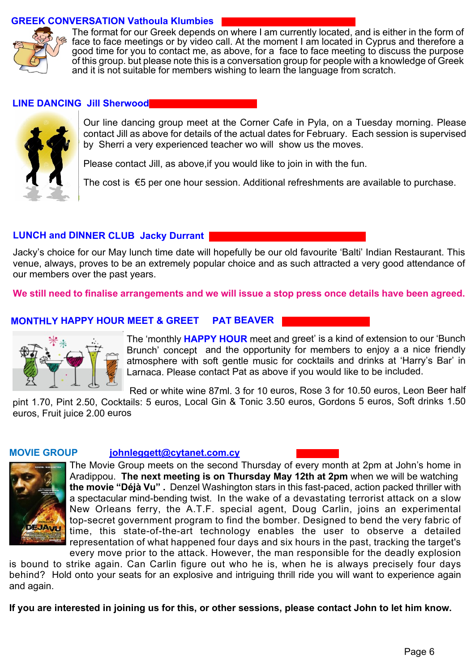## **GREEK CONVERSATION Vathoula Klumbies**



The format for our Greek depends on where I am currently located, and is either in the form of face to face meetings or by video call. At the moment I am located in Cyprus and therefore a good time for you to contact me, as above, for a face to face meeting to discuss the purpose of this group. but please note this is a conversation group for people with a knowledge of Greek and it is not suitable for members wishing to learn the language from scratch.

#### **LINE DANCING Jill Sherwood**



Our line dancing group meet at the Corner Cafe in Pyla, on a Tuesday morning. Please contact Jill as above for details of the actual dates for February. Each session is supervised by Sherri a very experienced teacher wo will show us the moves.

Please contact Jill, as above,if you would like to join in with the fun.

The cost is €5 per one hour session. Additional refreshments are available to purchase.

# **LUNCH and DINNER CLUB Jacky Durrant**

Jacky's choice for our May lunch time date will hopefully be our old favourite 'Balti' Indian Restaurant. This venue, always, proves to be an extremely popular choice and as such attracted a very good attendance of our members over the past years.

**We still need to finalise arrangements and we will issue a stop press once details have been agreed.**

### **MONTHLY HAPPY HOUR MEET & GREET PAT BEAVER**



The 'monthly **HAPPY HOUR** meet and greet' is a kind of extension to our 'Bunch Brunch' concept and the opportunity for members to enjoy a a nice friendly atmosphere with soft gentle music for cocktails and drinks at 'Harry's Bar' in Larnaca. Please contact Pat as above if you would like to be included.

 Red or white wine 87ml. 3 for 10 euros, Rose 3 for 10.50 euros, Leon Beer half pint 1.70, Pint 2.50, Cocktails: 5 euros, Local Gin & Tonic 3.50 euros, Gordons 5 euros, Soft drinks 1.50 euros, Fruit juice 2.00 euros

#### **MOVIE GROUP johnleggett@cytanet.com.cy**



The Movie Group meets on the second Thursday of every month at 2pm at John's home in Aradippou. **The next meeting is on Thursday May 12th at 2pm** when we will be watching **the movie "Déjà Vu" .** Denzel Washington stars in this fast-paced, action packed thriller with a spectacular mind-bending twist. In the wake of a devastating terrorist attack on a slow New Orleans ferry, the A.T.F. special agent, Doug Carlin, joins an experimental top-secret government program to find the bomber. Designed to bend the very fabric of time, this state-of-the-art technology enables the user to observe a detailed representation of what happened four days and six hours in the past, tracking the target's

every move prior to the attack. However, the man responsible for the deadly explosion is bound to strike again. Can Carlin figure out who he is, when he is always precisely four days

behind? Hold onto your seats for an explosive and intriguing thrill ride you will want to experience again and again.

**If you are interested in joining us for this, or other sessions, please contact John to let him know.**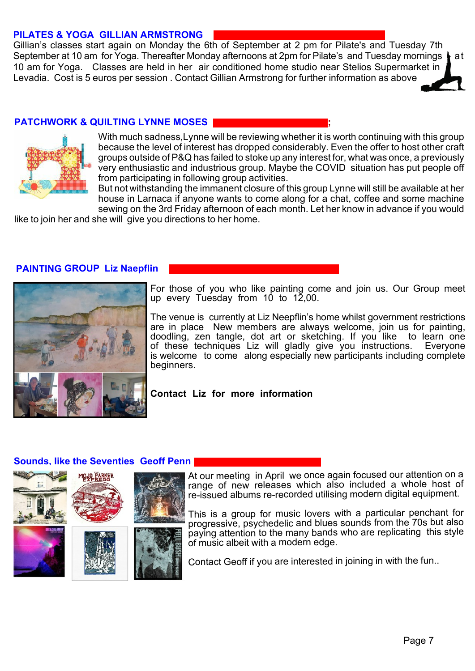## **PILATES & YOGA GILLIAN ARMSTRONG**

Gillian's classes start again on Monday the 6th of September at 2 pm for Pilate's and Tuesday 7th September at 10 am for Yoga. Thereafter Monday afternoons at 2pm for Pilate's and Tuesday mornings  $\parallel$  at 10 am for Yoga. Classes are held in her air conditioned home studio near Stelios Supermarket in Levadia. Cost is 5 euros per session . Contact Gillian Armstrong for further information as above

# **PATCHWORK & QUILTING LYNNE MOSES ;**



With much sadness,Lynne will be reviewing whether it is worth continuing with this group because the level of interest has dropped considerably. Even the offer to host other craft groups outside of P&Q has failed to stoke up any interest for, what was once, a previously very enthusiastic and industrious group. Maybe the COVID situation has put people off from participating in following group activities.

But not withstanding the immanent closure of this group Lynne will still be available at her house in Larnaca if anyone wants to come along for a chat, coffee and some machine sewing on the 3rd Friday afternoon of each month. Let her know in advance if you would

like to join her and she will give you directions to her home.

#### **PAINTING GROUP Liz Naepflin**



For those of you who like painting come and join us. Our Group meet up every Tuesday from 10 to 12,00.

The venue is currently at Liz Neepflin's home whilst government restrictions are in place New members are always welcome, join us for painting, doodling, zen tangle, dot art or sketching. If you like of these techniques Liz will gladly give you instructions. Everyone is welcome to come along especially new participants including complete beginners.

#### **Contact Liz for more information**

#### **Sounds, like the Seventies Geoff Penn**



At our meeting in April we once again focused our attention on a range of new releases which also included a whole host of re-issued albums re-recorded utilising modern digital equipment.

This is a group for music lovers with a particular penchant for progressive, psychedelic and blues sounds from the 70s but also paying attention to the many bands who are replicating this style of music albeit with a modern edge.

Contact Geoff if you are interested in joining in with the fun..